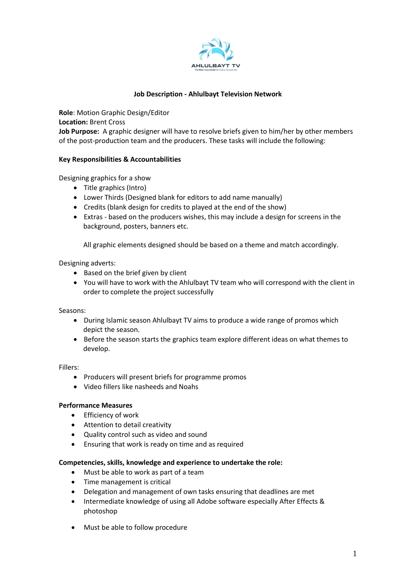

### **Job Description - Ahlulbayt Television Network**

**Role**: Motion Graphic Design/Editor **Location:** Brent Cross **Job Purpose:** A graphic designer will have to resolve briefs given to him/her by other members of the post-production team and the producers. These tasks will include the following:

### **Key Responsibilities & Accountabilities**

Designing graphics for a show

- Title graphics (Intro)
- Lower Thirds (Designed blank for editors to add name manually)
- Credits (blank design for credits to played at the end of the show)
- Extras based on the producers wishes, this may include a design for screens in the background, posters, banners etc.

All graphic elements designed should be based on a theme and match accordingly.

#### Designing adverts:

- Based on the brief given by client
- You will have to work with the Ahlulbayt TV team who will correspond with the client in order to complete the project successfully

#### Seasons:

- During Islamic season Ahlulbayt TV aims to produce a wide range of promos which depict the season.
- Before the season starts the graphics team explore different ideas on what themes to develop.

#### Fillers:

- Producers will present briefs for programme promos
- Video fillers like nasheeds and Noahs

### **Performance Measures**

- Efficiency of work
- Attention to detail creativity
- Quality control such as video and sound
- Ensuring that work is ready on time and as required

### **Competencies, skills, knowledge and experience to undertake the role:**

- Must be able to work as part of a team
- Time management is critical
- Delegation and management of own tasks ensuring that deadlines are met
- Intermediate knowledge of using all Adobe software especially After Effects & photoshop
- Must be able to follow procedure